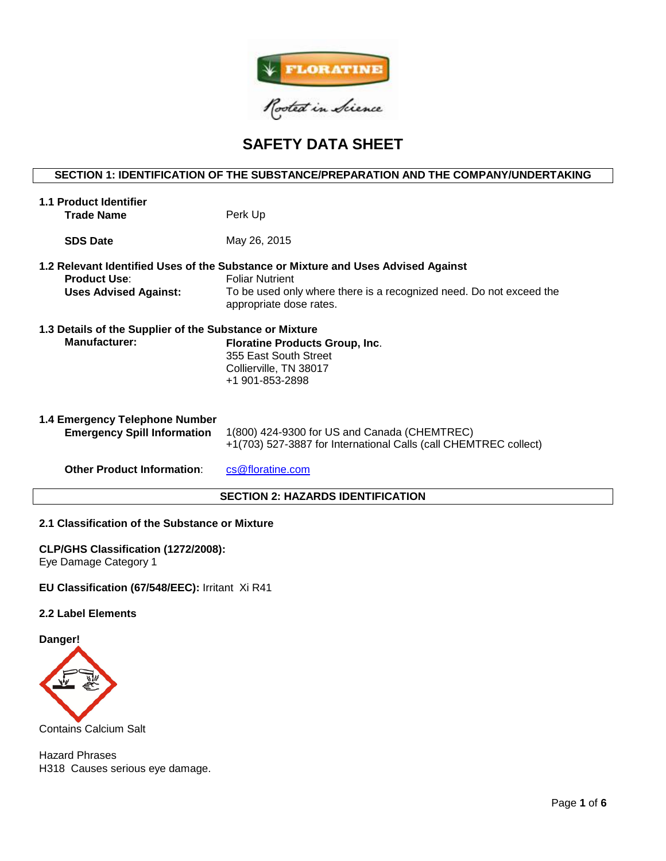

# **SAFETY DATA SHEET**

## **SECTION 1: IDENTIFICATION OF THE SUBSTANCE/PREPARATION AND THE COMPANY/UNDERTAKING**

| <b>1.1 Product Identifier</b><br><b>Trade Name</b>                              | Perk Up                                                                                                                                                                                                       |
|---------------------------------------------------------------------------------|---------------------------------------------------------------------------------------------------------------------------------------------------------------------------------------------------------------|
| <b>SDS Date</b>                                                                 | May 26, 2015                                                                                                                                                                                                  |
| <b>Product Use:</b><br><b>Uses Advised Against:</b>                             | 1.2 Relevant Identified Uses of the Substance or Mixture and Uses Advised Against<br><b>Foliar Nutrient</b><br>To be used only where there is a recognized need. Do not exceed the<br>appropriate dose rates. |
| 1.3 Details of the Supplier of the Substance or Mixture<br><b>Manufacturer:</b> | <b>Floratine Products Group, Inc.</b><br>355 East South Street<br>Collierville, TN 38017<br>+1 901-853-2898                                                                                                   |
| 1.4 Emergency Telephone Number<br><b>Emergency Spill Information</b>            | 1(800) 424-9300 for US and Canada (CHEMTREC)<br>+1(703) 527-3887 for International Calls (call CHEMTREC collect)                                                                                              |
| <b>Other Product Information:</b>                                               | cs@floratine.com                                                                                                                                                                                              |

## **SECTION 2: HAZARDS IDENTIFICATION**

## **2.1 Classification of the Substance or Mixture**

## **CLP/GHS Classification (1272/2008):**

Eye Damage Category 1

## **EU Classification (67/548/EEC):** Irritant Xi R41

## **2.2 Label Elements**

**Danger!**



Contains Calcium Salt

Hazard Phrases H318 Causes serious eye damage.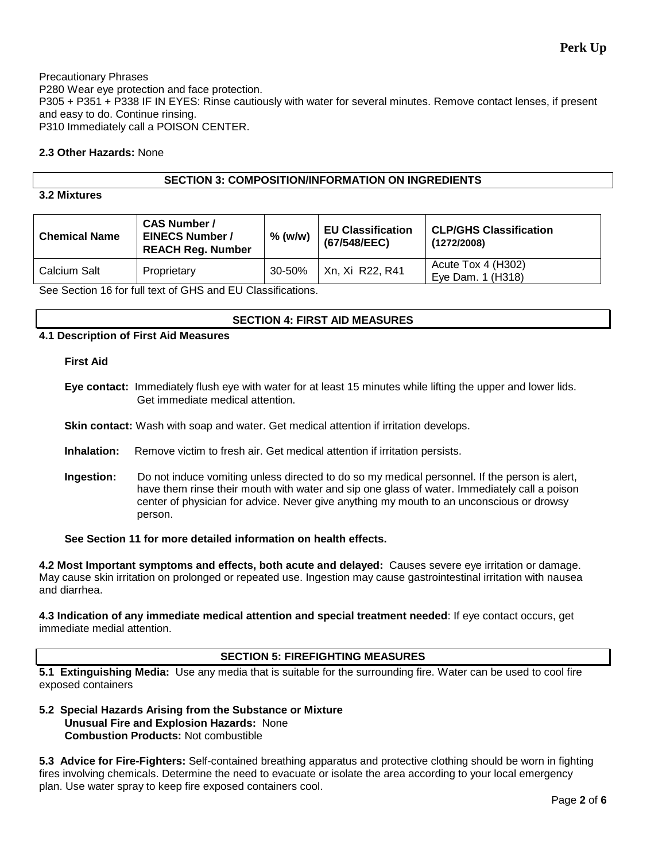Precautionary Phrases P280 Wear eye protection and face protection. P305 + P351 + P338 IF IN EYES: Rinse cautiously with water for several minutes. Remove contact lenses, if present and easy to do. Continue rinsing. P310 Immediately call a POISON CENTER.

## **2.3 Other Hazards:** None

## **SECTION 3: COMPOSITION/INFORMATION ON INGREDIENTS**

## **3.2 Mixtures**

| <b>Chemical Name</b> | <b>CAS Number /</b><br><b>EINECS Number /</b><br><b>REACH Reg. Number</b> | $%$ (w/w) | <b>EU Classification</b><br>(67/548/EEC) | <b>CLP/GHS Classification</b><br>(1272/2008) |
|----------------------|---------------------------------------------------------------------------|-----------|------------------------------------------|----------------------------------------------|
| Calcium Salt         | Proprietary                                                               | 30-50%    | Xn, Xi R22, R41                          | Acute Tox 4 (H302)<br>Eve Dam. 1 (H318)      |

See Section 16 for full text of GHS and EU Classifications.

## **SECTION 4: FIRST AID MEASURES**

## **4.1 Description of First Aid Measures**

#### **First Aid**

**Eye contact:** Immediately flush eye with water for at least 15 minutes while lifting the upper and lower lids. Get immediate medical attention.

**Skin contact:** Wash with soap and water. Get medical attention if irritation develops.

- **Inhalation:** Remove victim to fresh air. Get medical attention if irritation persists.
- **Ingestion:** Do not induce vomiting unless directed to do so my medical personnel. If the person is alert, have them rinse their mouth with water and sip one glass of water. Immediately call a poison center of physician for advice. Never give anything my mouth to an unconscious or drowsy person.

## **See Section 11 for more detailed information on health effects.**

**4.2 Most Important symptoms and effects, both acute and delayed:** Causes severe eye irritation or damage. May cause skin irritation on prolonged or repeated use. Ingestion may cause gastrointestinal irritation with nausea and diarrhea.

**4.3 Indication of any immediate medical attention and special treatment needed**: If eye contact occurs, get immediate medial attention.

## **SECTION 5: FIREFIGHTING MEASURES**

**5.1 Extinguishing Media:** Use any media that is suitable for the surrounding fire. Water can be used to cool fire exposed containers

## **5.2 Special Hazards Arising from the Substance or Mixture Unusual Fire and Explosion Hazards:** None **Combustion Products:** Not combustible

**5.3 Advice for Fire-Fighters:** Self-contained breathing apparatus and protective clothing should be worn in fighting fires involving chemicals. Determine the need to evacuate or isolate the area according to your local emergency plan. Use water spray to keep fire exposed containers cool.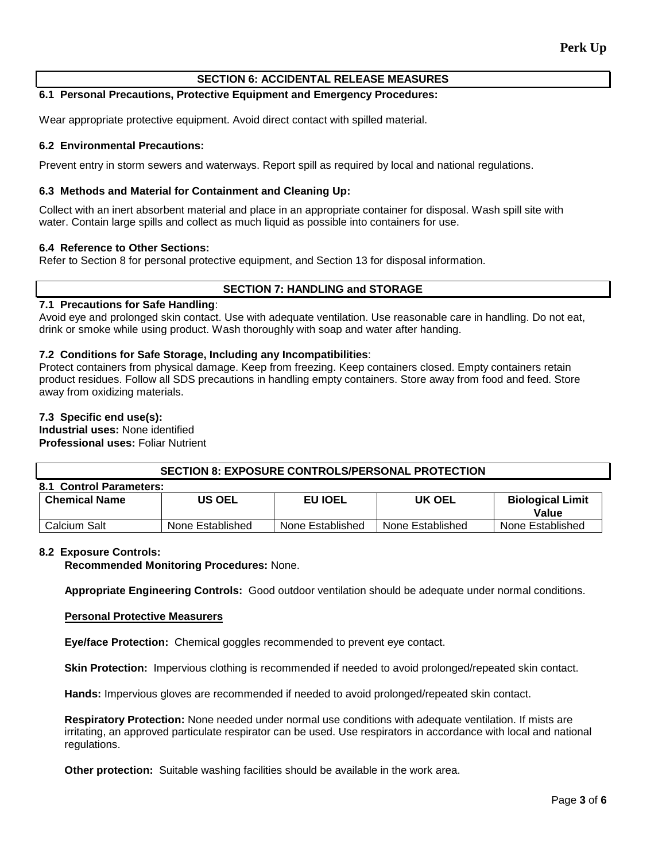## **SECTION 6: ACCIDENTAL RELEASE MEASURES**

## **6.1 Personal Precautions, Protective Equipment and Emergency Procedures:**

Wear appropriate protective equipment. Avoid direct contact with spilled material.

## **6.2 Environmental Precautions:**

Prevent entry in storm sewers and waterways. Report spill as required by local and national regulations.

## **6.3 Methods and Material for Containment and Cleaning Up:**

Collect with an inert absorbent material and place in an appropriate container for disposal. Wash spill site with water. Contain large spills and collect as much liquid as possible into containers for use.

#### **6.4 Reference to Other Sections:**

Refer to Section 8 for personal protective equipment, and Section 13 for disposal information.

## **SECTION 7: HANDLING and STORAGE**

## **7.1 Precautions for Safe Handling**:

Avoid eye and prolonged skin contact. Use with adequate ventilation. Use reasonable care in handling. Do not eat, drink or smoke while using product. Wash thoroughly with soap and water after handing.

#### **7.2 Conditions for Safe Storage, Including any Incompatibilities**:

Protect containers from physical damage. Keep from freezing. Keep containers closed. Empty containers retain product residues. Follow all SDS precautions in handling empty containers. Store away from food and feed. Store away from oxidizing materials.

#### **7.3 Specific end use(s):**

**Industrial uses:** None identified **Professional uses:** Foliar Nutrient

| <b>Professional uses: F</b> ollar Nutrient |  |
|--------------------------------------------|--|
|                                            |  |

| <b>SECTION 8: EXPOSURE CONTROLS/PERSONAL PROTECTION</b> |                  |                  |                  |                         |  |
|---------------------------------------------------------|------------------|------------------|------------------|-------------------------|--|
| 8.1 Control Parameters:                                 |                  |                  |                  |                         |  |
| <b>Chemical Name</b>                                    | <b>US OEL</b>    | <b>EU IOEL</b>   | UK OEL           | <b>Biological Limit</b> |  |
|                                                         |                  |                  |                  | Value                   |  |
| Calcium Salt                                            | None Established | None Established | None Established | None Established        |  |

#### **8.2 Exposure Controls:**

**Recommended Monitoring Procedures:** None.

**Appropriate Engineering Controls:** Good outdoor ventilation should be adequate under normal conditions.

#### **Personal Protective Measurers**

**Eye/face Protection:** Chemical goggles recommended to prevent eye contact.

**Skin Protection:** Impervious clothing is recommended if needed to avoid prolonged/repeated skin contact.

**Hands:** Impervious gloves are recommended if needed to avoid prolonged/repeated skin contact.

**Respiratory Protection:** None needed under normal use conditions with adequate ventilation. If mists are irritating, an approved particulate respirator can be used. Use respirators in accordance with local and national regulations.

**Other protection:** Suitable washing facilities should be available in the work area.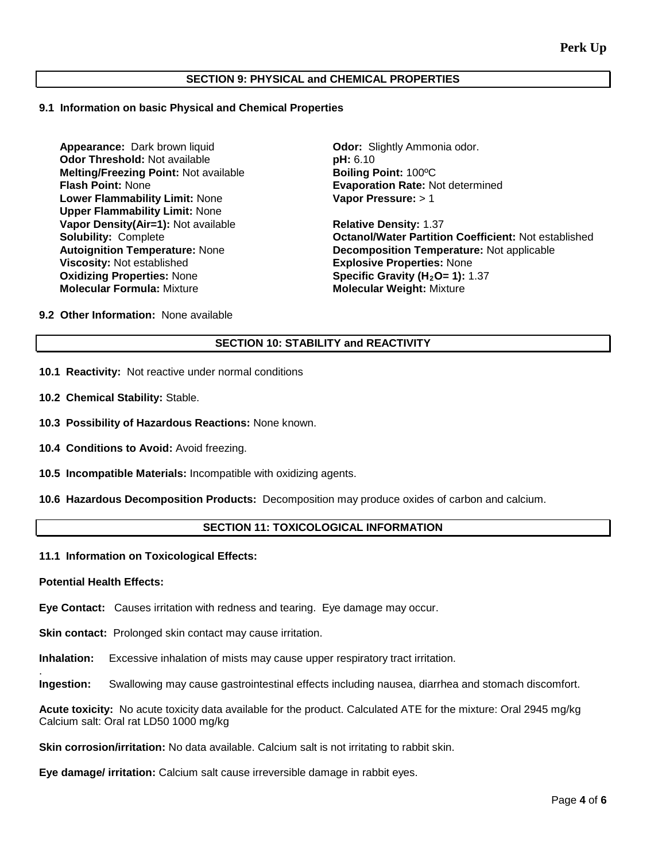## **SECTION 9: PHYSICAL and CHEMICAL PROPERTIES**

#### **9.1 Information on basic Physical and Chemical Properties**

**Appearance:** Dark brown liquid **Calculary Constructs:** Odor: Slightly Ammonia odor. **Odor Threshold:** Not available **pH: 6.10** pH: 6.10 pH: **6.10** pH: **6.10** pH: **100°C Melting/Freezing Point: Not available Flash Point: None Lower Flammability Limit:** None **Upper Flammability Limit:** None **Vapor Density(Air=1):** Not available **Relative Density:** 1.37 **Viscosity:** Not established **Explosive Properties:** None **Oxidizing Properties:** None **Specific Gravity (H<sub>2</sub>O= 1):** 1.37<br> **Molecular Formula:** Mixture **State of Molecular Weight:** Mixture

**Evaporation Rate: Not determined Vapor Pressure:** > 1

**Solubility:** Complete **Octanol/Water Partition Coefficient:** Not established **Autoignition Temperature:** Not applicable **Decomposition Temperature: Not applicable Molecular Weight: Mixture** 

**9.2 Other Information:** None available

## **SECTION 10: STABILITY and REACTIVITY**

- **10.1 Reactivity:** Not reactive under normal conditions
- **10.2 Chemical Stability:** Stable.
- **10.3 Possibility of Hazardous Reactions:** None known.
- **10.4 Conditions to Avoid:** Avoid freezing.
- **10.5 Incompatible Materials:** Incompatible with oxidizing agents.
- **10.6 Hazardous Decomposition Products:** Decomposition may produce oxides of carbon and calcium.

## **SECTION 11: TOXICOLOGICAL INFORMATION**

#### **11.1 Information on Toxicological Effects:**

#### **Potential Health Effects:**

.

**Eye Contact:** Causes irritation with redness and tearing. Eye damage may occur.

**Skin contact:** Prolonged skin contact may cause irritation.

**Inhalation:** Excessive inhalation of mists may cause upper respiratory tract irritation.

**Ingestion:** Swallowing may cause gastrointestinal effects including nausea, diarrhea and stomach discomfort.

**Acute toxicity:** No acute toxicity data available for the product. Calculated ATE for the mixture: Oral 2945 mg/kg Calcium salt: Oral rat LD50 1000 mg/kg

**Skin corrosion/irritation:** No data available. Calcium salt is not irritating to rabbit skin.

**Eye damage/ irritation:** Calcium salt cause irreversible damage in rabbit eyes.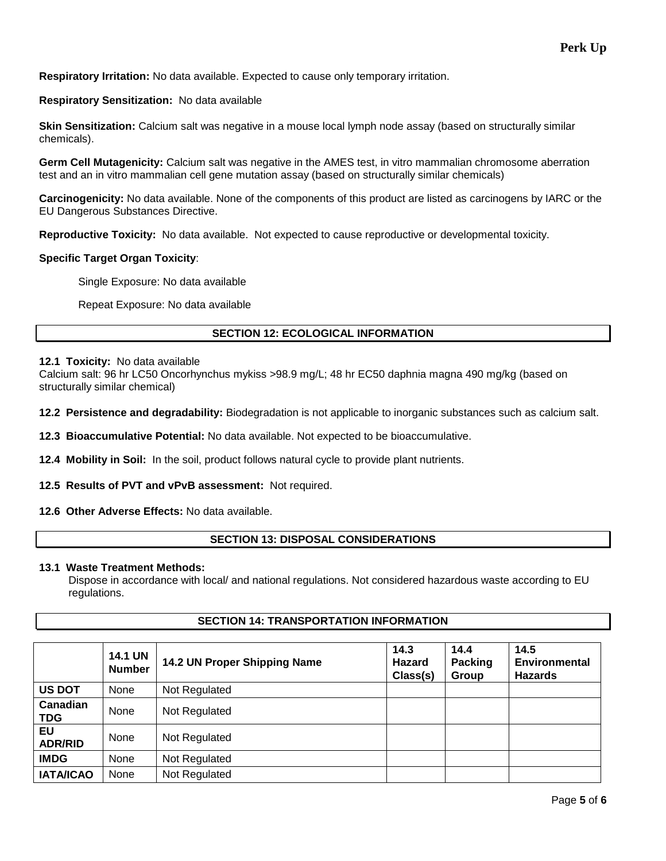**Respiratory Irritation:** No data available. Expected to cause only temporary irritation.

## **Respiratory Sensitization:** No data available

**Skin Sensitization:** Calcium salt was negative in a mouse local lymph node assay (based on structurally similar chemicals).

**Germ Cell Mutagenicity:** Calcium salt was negative in the AMES test, in vitro mammalian chromosome aberration test and an in vitro mammalian cell gene mutation assay (based on structurally similar chemicals)

**Carcinogenicity:** No data available. None of the components of this product are listed as carcinogens by IARC or the EU Dangerous Substances Directive.

**Reproductive Toxicity:** No data available. Not expected to cause reproductive or developmental toxicity.

## **Specific Target Organ Toxicity**:

Single Exposure: No data available

Repeat Exposure: No data available

## **SECTION 12: ECOLOGICAL INFORMATION**

## **12.1 Toxicity:** No data available

Calcium salt: 96 hr LC50 Oncorhynchus mykiss >98.9 mg/L; 48 hr EC50 daphnia magna 490 mg/kg (based on structurally similar chemical)

**12.2 Persistence and degradability:** Biodegradation is not applicable to inorganic substances such as calcium salt.

**12.3 Bioaccumulative Potential:** No data available. Not expected to be bioaccumulative.

**12.4 Mobility in Soil:** In the soil, product follows natural cycle to provide plant nutrients.

**12.5 Results of PVT and vPvB assessment:** Not required.

**12.6 Other Adverse Effects:** No data available.

## **SECTION 13: DISPOSAL CONSIDERATIONS**

## **13.1 Waste Treatment Methods:**

Dispose in accordance with local/ and national regulations. Not considered hazardous waste according to EU regulations.

## **SECTION 14: TRANSPORTATION INFORMATION**

|                        | <b>14.1 UN</b><br><b>Number</b> | 14.2 UN Proper Shipping Name | 14.3<br><b>Hazard</b><br>Class(s) | 14.4<br><b>Packing</b><br>Group | 14.5<br><b>Environmental</b><br><b>Hazards</b> |
|------------------------|---------------------------------|------------------------------|-----------------------------------|---------------------------------|------------------------------------------------|
| <b>US DOT</b>          | None                            | Not Regulated                |                                   |                                 |                                                |
| Canadian<br><b>TDG</b> | None                            | Not Regulated                |                                   |                                 |                                                |
| EU<br><b>ADR/RID</b>   | None                            | Not Regulated                |                                   |                                 |                                                |
| <b>IMDG</b>            | None                            | Not Regulated                |                                   |                                 |                                                |
| <b>IATA/ICAO</b>       | None                            | Not Regulated                |                                   |                                 |                                                |